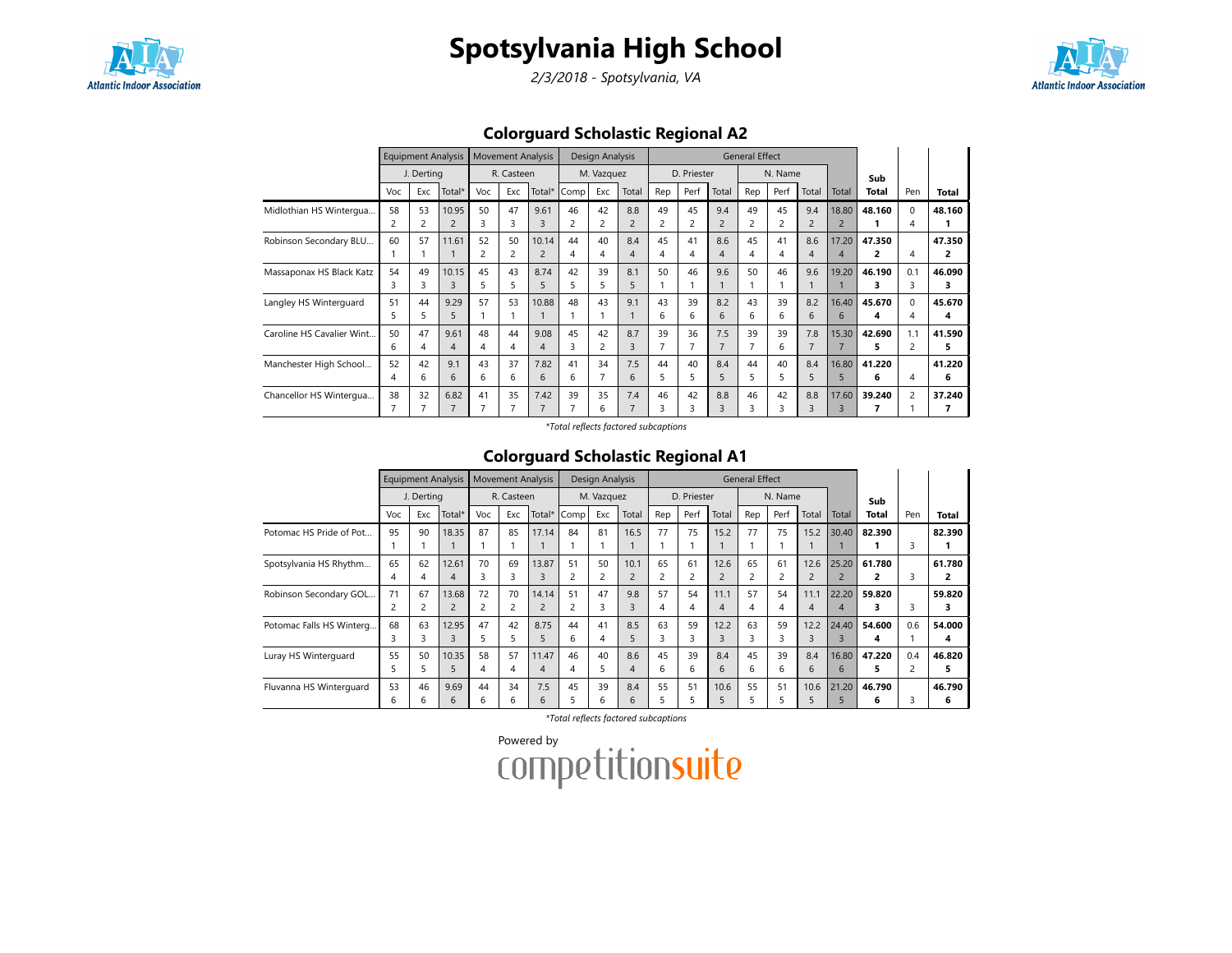

2/3/2018 - Spotsylvania, VA



Colorguard Scholastic Regional A2

|                           |     | <b>Equipment Analysis</b> |                |                         | <b>Movement Analysis</b> |        |                | Design Analysis |                |                |             |                | <b>General Effect</b> |         |                |                |              |              |        |
|---------------------------|-----|---------------------------|----------------|-------------------------|--------------------------|--------|----------------|-----------------|----------------|----------------|-------------|----------------|-----------------------|---------|----------------|----------------|--------------|--------------|--------|
|                           |     | J. Derting                |                |                         | R. Casteen               |        |                | M. Vazquez      |                |                | D. Priester |                |                       | N. Name |                |                | Sub          |              |        |
|                           | Voc | Exc                       | Total*         | Voc                     | Exc                      | Total* | Comp           | Exc             | Total          | Rep            | Perf        | Total          | Rep                   | Perf    | Total          | Total          | <b>Total</b> | Pen          | Total  |
| Midlothian HS Wintergua   | 58  | 53                        | 10.95          | 50                      | 47                       | 9.61   | 46             | 42              | 8.8            | 49             | 45          | 9.4            | 49                    | 45      | 9.4            | 18.80          | 48.160       | <sup>0</sup> | 48.160 |
|                           | 2   | 2                         | $\overline{2}$ | 3                       | 3                        |        | $\overline{2}$ | $\overline{c}$  | $\overline{2}$ | $\overline{c}$ |             | $\overline{2}$ | 2                     | 2       | $\overline{2}$ | $\overline{2}$ |              |              |        |
| Robinson Secondary BLU    | 60  | 57                        | 11.61          | 52                      | 50                       | 10.14  | 44             | 40              | 8.4            | 45             | 41          | 8.6            | 45                    | 41      | 8.6            | 17.20          | 47.350       |              | 47.350 |
|                           |     |                           |                | $\overline{\mathbf{c}}$ | 2                        |        | 4              | 4               | 4              | 4              | Δ           | 4              | 4                     | 4       | 4              | 4              | 2            | 4            |        |
| Massaponax HS Black Katz  | 54  | 49                        | 10.15          | 45                      | 43                       | 8.74   | 42             | 39              | 8.1            | 50             | 46          | 9.6            | 50                    | 46      | 9.6            | 19.20          | 46.190       | 0.1          | 46.090 |
|                           | 3   | 3                         | 3              | 5                       | 5                        | 5      | 5              | 5               | 5              |                |             |                |                       |         |                |                | 3            | 3            | з      |
| Langley HS Winterguard    | 51  | 44                        | 9.29           | 57                      | 53                       | 10.88  | 48             | 43              | 9.1            | 43             | 39          | 8.2            | 43                    | 39      | 8.2            | 16.40          | 45.670       | $\Omega$     | 45.670 |
|                           | 5   | 5                         | 5              |                         |                          |        |                |                 |                | 6              | 6           | 6              | 6.                    | 6       | 6              | 6              | 4            | 4            | 4      |
| Caroline HS Cavalier Wint | 50  | 47                        | 9.61           | 48                      | 44                       | 9.08   | 45             | 42              | 8.7            | 39             | 36          | 7.5            | 39                    | 39      | 7.8            | 15.30          | 42.690       | 1.1          | 41.590 |
|                           | 6   | 4                         | 4              | 4                       | $\overline{A}$           | 4      | 3              | 2               | 3              |                |             | $\overline{7}$ |                       | 6       | 7              |                | 5            |              | 5      |
| Manchester High School    | 52  | 42                        | 9.1            | 43                      | 37                       | 7.82   | 41             | 34              | 7.5            | 44             | 40          | 8.4            | 44                    | 40      | 8.4            | 16.80          | 41.220       |              | 41.220 |
|                           | 4   | 6                         | 6              | 6                       | 6                        | 6      | 6              |                 | 6              | 5              | 5           | 5              | 5                     | 5       | 5              | 5              | 6            | 4            | 6      |
| Chancellor HS Wintergua   | 38  | 32                        | 6.82           | 41                      | 35                       | 7.42   | 39             | 35              | 7.4            | 46             | 42          | 8.8            | 46                    | 42      | 8.8            | 17.60          | 39.240       | 2            | 37.240 |
|                           | 7   |                           | 7              |                         | 7                        |        |                | 6               |                | 3              | З           | 3              | 3                     | 3       | 3              |                |              |              |        |

\*Total reflects factored subcaptions

### Colorguard Scholastic Regional A1

|                          |     | <b>Equipment Analysis</b> |                |     | <b>Movement Analysis</b> |        |      | Design Analysis |                |                |             |       | <b>General Effect</b> |         |                |                |              |                |        |
|--------------------------|-----|---------------------------|----------------|-----|--------------------------|--------|------|-----------------|----------------|----------------|-------------|-------|-----------------------|---------|----------------|----------------|--------------|----------------|--------|
|                          |     | J. Derting                |                |     | R. Casteen               |        |      | M. Vazquez      |                |                | D. Priester |       |                       | N. Name |                |                | Sub          |                |        |
|                          | Voc | Exc                       | Total*         | Voc | Exc                      | Total* | Comp | Exc             | Total          | Rep            | Perf        | Total | Rep                   | Perf    | Total          | Total          | <b>Total</b> | Pen            | Total  |
| Potomac HS Pride of Pot  | 95  | 90                        | 18.35          | 87  | 85                       | 17.14  | 84   | 81              | 16.5           | 77             | 75          | 15.2  | 77                    | 75      | 15.2           | 30.40          | 82.390       |                | 82.390 |
|                          |     |                           |                |     |                          |        |      |                 |                |                |             |       |                       |         |                |                |              | 3              |        |
| Spotsylvania HS Rhythm   | 65  | 62                        | 12.61          | 70  | 69                       | 13.87  | 51   | 50              | 10.1           | 65             | 61          | 12.6  | 65                    | 61      | 12.6           | 25.20          | 61.780       |                | 61.780 |
|                          | 4   | 4                         | 4              | 3   | 3                        | 3      | 2    | $\overline{c}$  | $\overline{2}$ | $\overline{2}$ |             |       | 2                     |         | $\overline{c}$ | $\overline{c}$ | 2            | 3              |        |
| Robinson Secondary GOL   | 71  | 67                        | 13.68          | 72  | 70                       | 14.14  | 51   | 47              | 9.8            | 57             | 54          | 11.1  | 57                    | 54      | 11.1           | 22.20          | 59.820       |                | 59.820 |
|                          | 2   |                           | $\overline{2}$ |     | $\overline{\mathbf{c}}$  |        | 2    | 3               | 3              | 4              | 4           | 4     | 4                     | 4       | 4              | 4              | 3            | 3              |        |
| Potomac Falls HS Winterg | 68  | 63                        | 12.95          | 47  | 42                       | 8.75   | 44   | 41              | 8.5            | 63             | 59          | 12.2  | 63                    | 59      | 12.2           | 24.40          | 54.600       | 0.6            | 54.000 |
|                          | 3   | 3                         | 3              | 5   | 5                        |        | 6    | 4               | 5              | 3              | З           | 3     | 3                     | 3       | 3              |                | 4            |                | 4      |
| Luray HS Winterguard     | 55  | 50                        | 10.35          | 58  | 57                       | 11.47  | 46   | 40              | 8.6            | 45             | 39          | 8.4   | 45                    | 39      | 8.4            | 16.80          | 47.220       | 0.4            | 46.820 |
|                          | 5   | 5                         | 5              | 4   | 4                        | 4      | 4    | 5               | 4              | 6              | 6           | 6     | 6                     | 6       | 6              | 6              | 5            | $\overline{c}$ |        |
| Fluvanna HS Winterguard  | 53  | 46                        | 9.69           | 44  | 34                       | 7.5    | 45   | 39              | 8.4            | 55             | 51          | 10.6  | 55                    | 51      | 10.6           | 21.20          | 46.790       |                | 46.790 |
|                          | 6   | b                         | 6              | 6   | 6                        | 6      |      | 6               | 6              | 5              |             |       | 5                     |         | 5              |                | 6            | 3              | 6      |

\*Total reflects factored subcaptions

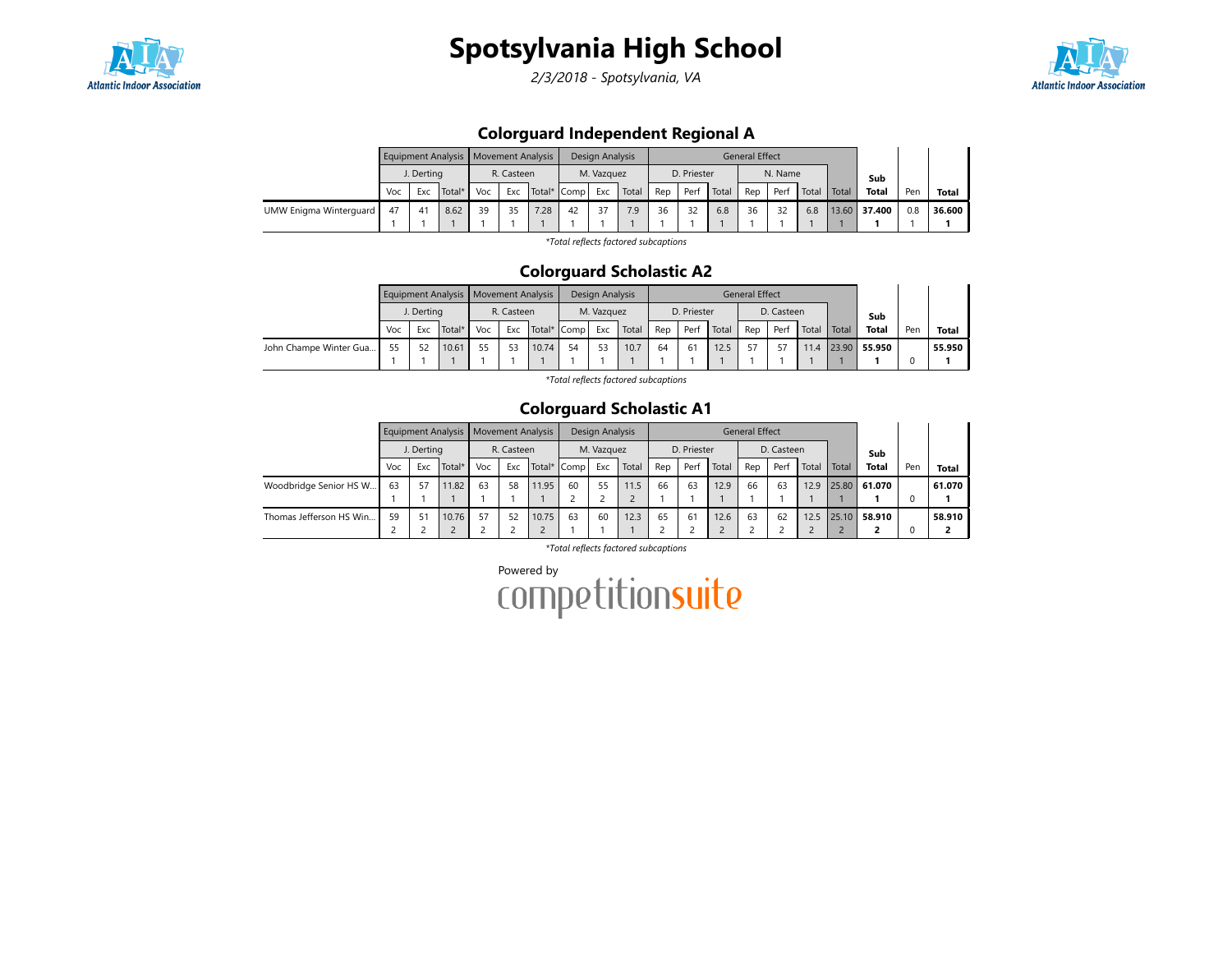

2/3/2018 - Spotsylvania, VA



## Colorguard Independent Regional A

|                        |     |                      | Equipment Analysis | Movement Analysis |            |      |             | Design Analysis |       |     |             |       | <b>General Effect</b> |         |       |       |        |     |        |
|------------------------|-----|----------------------|--------------------|-------------------|------------|------|-------------|-----------------|-------|-----|-------------|-------|-----------------------|---------|-------|-------|--------|-----|--------|
|                        |     | J. Dertina           |                    |                   | R. Casteen |      |             | M. Vazquez      |       |     | D. Priester |       |                       | N. Name |       |       | Sub    |     |        |
|                        | Voc | Exc                  | Total*             | Voc               | Exc        |      | Total* Comp | Exc             | Total | Rep | Perf        | Total | Rep                   | Perf    | Total | Total | Total  | Pen | Total  |
| UMW Enigma Winterguard | 47  | $\mathbf{4}^{\cdot}$ | 8.62               | 39                | 35         | 7.28 | 42          | 37              | 7.9   | 36  | 32          | 6.8   | 36                    | 32      | 6.8   | 13.60 | 37.400 | 0.8 | 36.600 |
|                        |     |                      |                    |                   |            |      |             |                 |       |     |             |       |                       |         |       |       |        |     |        |

\*Total reflects factored subcaptions

### Colorguard Scholastic A2

|                        |     |            | Equipment Analysis   Movement Analysis |     |            |             |    | Design Analysis |       |     |             |       | <b>General Effect</b> |            |       |       |        |     |              |
|------------------------|-----|------------|----------------------------------------|-----|------------|-------------|----|-----------------|-------|-----|-------------|-------|-----------------------|------------|-------|-------|--------|-----|--------------|
|                        |     | J. Dertina |                                        |     | R. Casteen |             |    | M. Vazquez      |       |     | D. Priester |       |                       | D. Casteen |       |       | Sub    |     |              |
|                        | Voc | Exc        | Total*                                 | Voc | Exc        | Total* Comp |    | Exc             | Total | Rep | Perf        | Total | Rep                   | Perf       | Total | Total | Total  | Pen | <b>Total</b> |
| John Champe Winter Gua | 55  | 52         | 10.61                                  | 55  | 53         | 10.74       | 54 | 53              | 10.7  | 64  | -61         | 12.5  | 57                    |            | 11.4  | 23.90 | 55.950 |     | 55.950       |
|                        |     |            |                                        |     |            |             |    |                 |       |     |             |       |                       |            |       |       |        |     |              |

\*Total reflects factored subcaptions

### Colorguard Scholastic A1

|                         |     |            | Equipment Analysis   Movement Analysis |     |            |       |             | Design Analysis |       |     |             |       | <b>General Effect</b> |            |       |                         |              |     |              |
|-------------------------|-----|------------|----------------------------------------|-----|------------|-------|-------------|-----------------|-------|-----|-------------|-------|-----------------------|------------|-------|-------------------------|--------------|-----|--------------|
|                         |     | J. Dertina |                                        |     | R. Casteen |       |             | M. Vazquez      |       |     | D. Priester |       |                       | D. Casteen |       |                         | Sub          |     |              |
|                         | Voc | Exc        | Total*                                 | Voc | Exc        |       | Total* Comp | Exc             | Total | Rep | Perf        | Total | Rep                   | Perf       | Total | Total                   | <b>Total</b> | Pen | <b>Total</b> |
| Woodbridge Senior HS W  | 63  | 57         | 11.82                                  | 63  | 58         | 11.95 | 60          | 55              | 1.5   | 66  | 63          | 12.9  | 66                    | 63         | 12.9  |                         | 25.80 61.070 |     | 61.070       |
|                         |     |            |                                        |     |            |       |             |                 |       |     |             |       |                       |            |       |                         |              |     |              |
| Thomas Jefferson HS Win | 59  | 51         | 10.76                                  | 57  | 52         | 10.75 | 63          | 60              | 12.3  | 65  | 61          | 12.6  | 63                    | 62         | 12.5  | 25.<br>.10 <sub>1</sub> | 58.910       |     | 58.910       |
|                         |     |            |                                        |     |            |       |             |                 |       |     |             |       |                       |            |       |                         |              |     |              |

\*Total reflects factored subcaptions

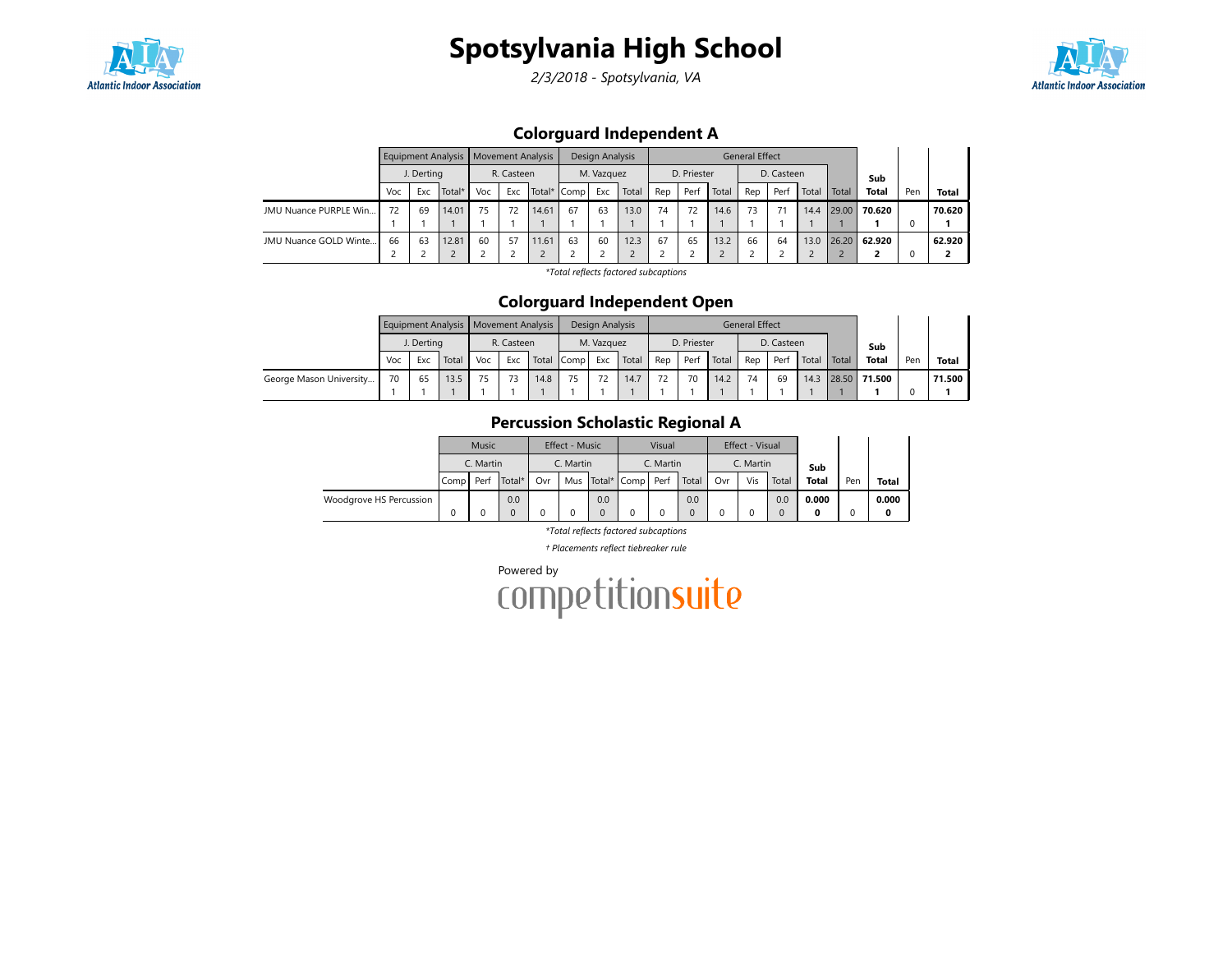

2/3/2018 - Spotsylvania, VA



## Colorguard Independent A

|                       |     |            | Equipment Analysis   Movement Analysis |     |            |       |             | Design Analysis |       |     |             |       | <b>General Effect</b> |            |       |       |              |     |              |
|-----------------------|-----|------------|----------------------------------------|-----|------------|-------|-------------|-----------------|-------|-----|-------------|-------|-----------------------|------------|-------|-------|--------------|-----|--------------|
|                       |     | J. Derting |                                        |     | R. Casteen |       |             | M. Vazquez      |       |     | D. Priester |       |                       | D. Casteen |       |       | Sub          |     |              |
|                       | Voc | Exc        | Total*                                 | Voc | Exc        |       | Total* Comp | Exc             | Total | Rep | Perf        | Total | Rep                   | Perf       | Total | Total | <b>Total</b> | Pen | <b>Total</b> |
| JMU Nuance PURPLE Win | 72  | 69         | 14.01                                  | 75  | 72         | 14.61 | 67          | 63              | 13.0  | 74  | 72          | 14.6  | 73                    | 71         | 14.4  | 29.00 | 70.620       |     | 70.620       |
|                       |     |            |                                        |     |            |       |             |                 |       |     |             |       |                       |            |       |       |              |     |              |
| JMU Nuance GOLD Winte | 66  | 63         | 12.81                                  | 60  | 57         | 11.61 | 63          | 60              | 12.3  | 67  | 65          | 13.2  | 66                    | 64         | 13.0  | 26.20 | 62.920       |     | 62.920       |
|                       |     |            |                                        |     |            |       |             |                 |       |     |             |       |                       |            |       |       |              |     |              |

\*Total reflects factored subcaptions

### Colorguard Independent Open

|                         |     |            | Equipment Analysis   Movement Analysis |     |            |       |      | Design Analysis      |       |     |             |       | <b>General Effect</b> |            |       |       |              |     |              |
|-------------------------|-----|------------|----------------------------------------|-----|------------|-------|------|----------------------|-------|-----|-------------|-------|-----------------------|------------|-------|-------|--------------|-----|--------------|
|                         |     | J. Dertina |                                        |     | R. Casteen |       |      | M. Vazquez           |       |     | D. Priester |       |                       | D. Casteen |       |       | Sub          |     |              |
|                         | Voc | Exc        | Total                                  | Voc | Exc        | Total | Comp | Exc                  | Total | Rep | Per         | Total | Rep                   | Perf       | Total | Total | <b>Total</b> | Pen | <b>Total</b> |
| George Mason University | 70  | 65         | 13.5                                   | 75  | 73         | 14.8  | 75   | $\overline{ }$<br>'L | 14.7  | 72  | 70          | 14.2  | 74                    | 69         | 14.3  | 28.50 | 71.500       |     | 71.500       |
|                         |     |            |                                        |     |            |       |      |                      |       |     |             |       |                       |            |       |       |              |     |              |

## Percussion Scholastic Regional A

|                         |                            | Music |        |           | Effect - Music |     |                  | Visual |       |           | Effect - Visual |          |              |     |              |
|-------------------------|----------------------------|-------|--------|-----------|----------------|-----|------------------|--------|-------|-----------|-----------------|----------|--------------|-----|--------------|
|                         | C. Martin<br>Perf<br>Compl |       |        | C. Martin |                |     | C. Martin        |        |       | C. Martin |                 | Sub      |              |     |              |
|                         |                            |       | Total* | Ovr       | Mus            |     | Total* Comp Perf |        | Total | Ovr       | Vis             | Total    | <b>Total</b> | Pen | <b>Total</b> |
| Woodgrove HS Percussion |                            |       | 0.0    |           |                | 0.0 |                  |        | 0.0   |           |                 | 0.0      | 0.000        |     | 0.000        |
|                         |                            |       |        |           |                |     |                  |        |       |           |                 | $\Omega$ |              |     | 0            |

\*Total reflects factored subcaptions

† Placements reflect tiebreaker rule